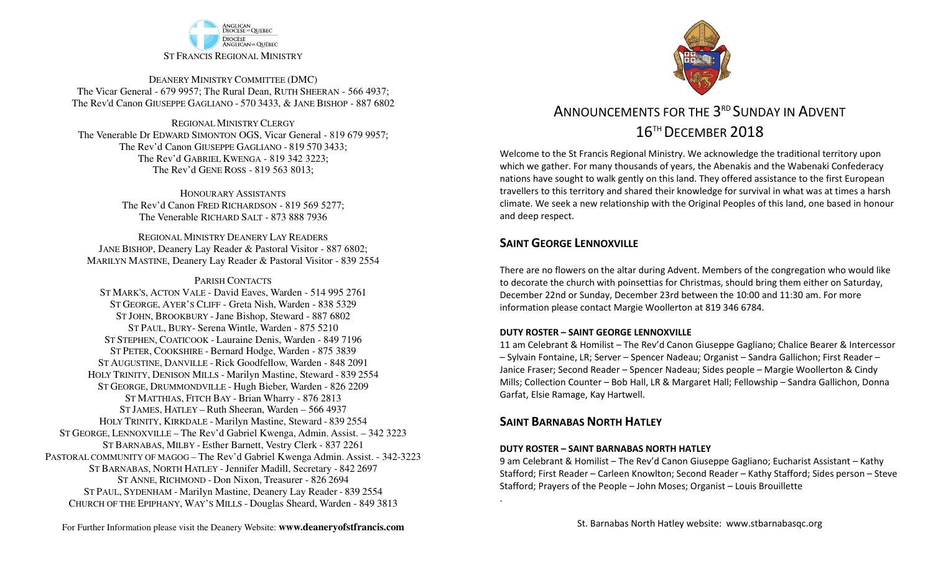

DEANERY MINISTRY COMMITTEE (DMC) The Vicar General - 679 9957; The Rural Dean, RUTH SHEERAN - 566 4937; The Rev'd Canon GIUSEPPE GAGLIANO - <sup>570</sup> 3433, & JANE BISHOP - 887 6802

REGIONAL MINISTRY CLERGY The Venerable Dr EDWARD SIMONTON OGS, Vicar General - 819 679 9957;The Rev'd Canon GIUSEPPE GAGLIANO - <sup>819</sup> <sup>570</sup> 3433; The Rev'd GABRIEL KWENGA - 819 342 3223;The Rev'd GENE ROSS - 819 563 8013;

> HONOURARY ASSISTANTS The Rev'd Canon FRED RICHARDSON - 819 569 5277;The Venerable RICHARD SALT - 873 888 7936

REGIONAL MINISTRY DEANERY LAY READERS JANE BISHOP, Deanery Lay Reader & Pastoral Visitor - 887 6802;MARILYN MASTINE, Deanery Lay Reader & Pastoral Visitor - 839 2554

PARISH CONTACTS

 ST MARK'S, ACTON VALE - David Eaves, Warden - 514 995 2761 ST GEORGE, AYER'<sup>S</sup> CLIFF - Greta Nish, Warden - 838 5329 ST JOHN, BROOKBURY -Jane Bishop, Steward - 887 6802 ST PAUL, BURY- Serena Wintle, Warden - 875 5210 ST STEPHEN, COATICOOK - Lauraine Denis, Warden - 849 7196 ST PETER, COOKSHIRE - Bernard Hodge, Warden - 875 3839 ST AUGUSTINE, DANVILLE - Rick Goodfellow, Warden - 848 2091 HOLY TRINITY, DENISON MILLS - Marilyn Mastine, Steward - <sup>839</sup> <sup>2554</sup> ST GEORGE, DRUMMONDVILLE - Hugh Bieber, Warden - 826 2209 ST MATTHIAS, FITCH BAY - Brian Wharry - 876 2813 ST JAMES, HATLEY – Ruth Sheeran, Warden – 566 4937 HOLY TRINITY, KIRKDALE - Marilyn Mastine, Steward - <sup>839</sup> <sup>2554</sup> ST GEORGE, LENNOXVILLE – The Rev'd Gabriel Kwenga, Admin. Assist. – 342 3223 ST BARNABAS, MILBY - Esther Barnett, Vestry Clerk - 837 2261 PASTORAL COMMUNITY OF MAGOG – The Rev'd Gabriel Kwenga Admin. Assist. - 342-3223 ST BARNABAS, NORTH HATLEY - Jennifer Madill, Secretary - 842 2697 ST ANNE, RICHMOND - Don Nixon, Treasurer - 826 <sup>2694</sup> ST PAUL, SYDENHAM - Marilyn Mastine, Deanery Lay Reader - <sup>839</sup> <sup>2554</sup> CHURCH OF THE EPIPHANY, WAY'<sup>S</sup> MILLS - Douglas Sheard, Warden - 849 3813



# ANNOUNCEMENTS FOR THE 3<sup>rd</sup> SUNDAY IN ADVENT  $16^{\scriptscriptstyle\rm TH}$  December  $2018$

Welcome to the St Francis Regional Ministry. We acknowledge the traditional territory upon which we gather. For many thousands of years, the Abenakis and the Wabenaki Confederacy nations have sought to walk gently on this land. They offered assistance to the first European travellers to this territory and shared their knowledge for survival in what was at times a harsh climate. We seek a new relationship with the Original Peoples of this land, one based in honour and deep respect.

### **SAINT GEORGE LENNOXVILLE**

There are no flowers on the altar during Advent. Members of the congregation who would like to decorate the church with poinsettias for Christmas, should bring them either on Saturday, December 22nd or Sunday, December 23rd between the 10:00 and 11:30 am. For more information please contact Margie Woollerton at 819 346 6784.

#### **DUTY ROSTER – SAINT GEORGE LENNOXVILLE**

11 am Celebrant & Homilist – The Rev'd Canon Giuseppe Gagliano; Chalice Bearer & Intercessor – Sylvain Fontaine, LR; Server – Spencer Nadeau; Organist – Sandra Gallichon; First Reader – Janice Fraser; Second Reader – Spencer Nadeau; Sides people – Margie Woollerton & Cindy Mills; Collection Counter – Bob Hall, LR & Margaret Hall; Fellowship – Sandra Gallichon, Donna Garfat, Elsie Ramage, Kay Hartwell.

### **SAINT BARNABAS NORTH HATLEY**

.

#### **DUTY ROSTER – SAINT BARNABAS NORTH HATLEY**

9 am Celebrant & Homilist – The Rev'd Canon Giuseppe Gagliano; Eucharist Assistant – Kathy Stafford; First Reader – Carleen Knowlton; Second Reader – Kathy Stafford; Sides person – Steve Stafford; Prayers of the People – John Moses; Organist – Louis Brouillette